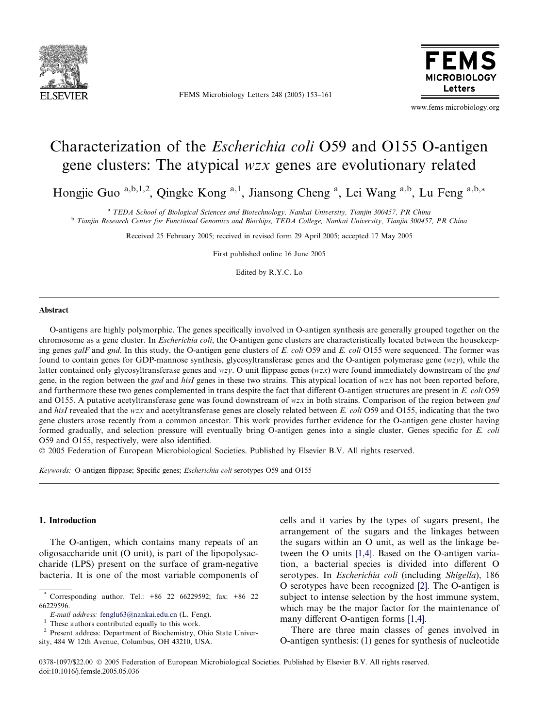

FEMS Microbiology Letters 248 (2005) 153–161



www.fems-microbiology.org

# Characterization of the Escherichia coli O59 and O155 O-antigen gene clusters: The atypical wzx genes are evolutionary related

Hongjie Guo<sup>a,b,1,2</sup>, Qingke Kong<sup>a,1</sup>, Jiansong Cheng<sup>a</sup>, Lei Wang<sup>a,b</sup>, Lu Feng<sup>a,b,\*</sup>

<sup>a</sup> TEDA School of Biological Sciences and Biotechnology, Nankai University, Tianjin 300457, PR China <sup>b</sup> Tianjin Research Center for Functional Genomics and Biochips, TEDA College, Nankai University, Tianjin 300457, PR China

Received 25 February 2005; received in revised form 29 April 2005; accepted 17 May 2005

First published online 16 June 2005

Edited by R.Y.C. Lo

## Abstract

O-antigens are highly polymorphic. The genes specifically involved in O-antigen synthesis are generally grouped together on the chromosome as a gene cluster. In *Escherichia coli*, the O-antigen gene clusters are characteristically located between the housekeeping genes galF and gnd. In this study, the O-antigen gene clusters of E. coli O59 and E. coli O155 were sequenced. The former was found to contain genes for GDP-mannose synthesis, glycosyltransferase genes and the O-antigen polymerase gene (wzy), while the latter contained only glycosyltransferase genes and wzy. O unit flippase genes (wzx) were found immediately downstream of the gnd gene, in the region between the gnd and hisI genes in these two strains. This atypical location of  $wzx$  has not been reported before, and furthermore these two genes complemented in trans despite the fact that different O-antigen structures are present in E. coli O59 and O155. A putative acetyltransferase gene was found downstream of wzx in both strains. Comparison of the region between gnd and hisI revealed that the wzx and acetyltransferase genes are closely related between E. coli O59 and O155, indicating that the two gene clusters arose recently from a common ancestor. This work provides further evidence for the O-antigen gene cluster having formed gradually, and selection pressure will eventually bring O-antigen genes into a single cluster. Genes specific for E. coli O59 and O155, respectively, were also identified.

2005 Federation of European Microbiological Societies. Published by Elsevier B.V. All rights reserved.

Keywords: O-antigen flippase; Specific genes; Escherichia coli serotypes O59 and O155

## 1. Introduction

The O-antigen, which contains many repeats of an oligosaccharide unit (O unit), is part of the lipopolysaccharide (LPS) present on the surface of gram-negative bacteria. It is one of the most variable components of cells and it varies by the types of sugars present, the arrangement of the sugars and the linkages between the sugars within an O unit, as well as the linkage between the O units [\[1,4\].](#page-7-0) Based on the O-antigen variation, a bacterial species is divided into different O serotypes. In *Escherichia coli* (including *Shigella*), 186 O serotypes have been recognized [\[2\].](#page-7-0) The O-antigen is subject to intense selection by the host immune system, which may be the major factor for the maintenance of many different O-antigen forms [\[1,4\].](#page-7-0)

There are three main classes of genes involved in O-antigen synthesis: (1) genes for synthesis of nucleotide

0378-1097/\$22.00 2005 Federation of European Microbiological Societies. Published by Elsevier B.V. All rights reserved. doi:10.1016/j.femsle.2005.05.036

<sup>\*</sup> Corresponding author. Tel.: +86 22 66229592; fax: +86 22 66229596.<br>E-mail address: fenglu63@nankai.edu.cn (L. Feng).

 $\frac{1}{2}$  These authors contributed equally to this work.  $\frac{1}{2}$  Present address: Department of Biochemistry, Ohio State Univer-

sity, 484 W 12th Avenue, Columbus, OH 43210, USA.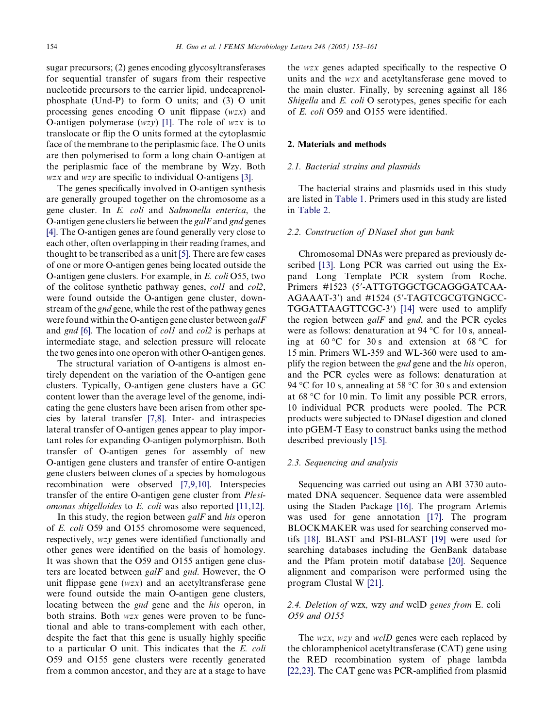sugar precursors; (2) genes encoding glycosyltransferases for sequential transfer of sugars from their respective nucleotide precursors to the carrier lipid, undecaprenolphosphate (Und-P) to form O units; and (3) O unit processing genes encoding O unit flippase (wzx) and O-antigen polymerase  $(wzy)$  [\[1\]](#page-7-0). The role of wzx is to translocate or flip the O units formed at the cytoplasmic face of the membrane to the periplasmic face. The O units are then polymerised to form a long chain O-antigen at the periplasmic face of the membrane by Wzy. Both  $wzx$  and  $wzy$  are specific to individual O-antigens [\[3\].](#page-7-0)

The genes specifically involved in O-antigen synthesis are generally grouped together on the chromosome as a gene cluster. In E. coli and Salmonella enterica, the O-antigen gene clusters lie between the  $galF$  and  $gnd$  genes [\[4\].](#page-7-0) The O-antigen genes are found generally very close to each other, often overlapping in their reading frames, and thought to be transcribed as a unit [\[5\]](#page-7-0). There are few cases of one or more O-antigen genes being located outside the O-antigen gene clusters. For example, in E. coli O55, two of the colitose synthetic pathway genes, col1 and col2, were found outside the O-antigen gene cluster, downstream of the gnd gene, while the rest of the pathway genes were found within the O-antigen gene cluster between galF and *gnd* [\[6\].](#page-7-0) The location of *col1* and *col2* is perhaps at intermediate stage, and selection pressure will relocate the two genes into one operon with other O-antigen genes.

The structural variation of O-antigens is almost entirely dependent on the variation of the O-antigen gene clusters. Typically, O-antigen gene clusters have a GC content lower than the average level of the genome, indicating the gene clusters have been arisen from other species by lateral transfer [\[7,8\]](#page-7-0). Inter- and intraspecies lateral transfer of O-antigen genes appear to play important roles for expanding O-antigen polymorphism. Both transfer of O-antigen genes for assembly of new O-antigen gene clusters and transfer of entire O-antigen gene clusters between clones of a species by homologous recombination were observed [\[7,9,10\]](#page-7-0). Interspecies transfer of the entire O-antigen gene cluster from Plesiomonas shigelloides to E. coli was also reported [\[11,12\]](#page-7-0).

In this study, the region between *galF* and *his* operon of E. coli O59 and O155 chromosome were sequenced, respectively, wzy genes were identified functionally and other genes were identified on the basis of homology. It was shown that the O59 and O155 antigen gene clusters are located between galF and gnd. However, the O unit flippase gene (wzx) and an acetyltransferase gene were found outside the main O-antigen gene clusters, locating between the gnd gene and the his operon, in both strains. Both wzx genes were proven to be functional and able to trans-complement with each other, despite the fact that this gene is usually highly specific to a particular O unit. This indicates that the E. coli O59 and O155 gene clusters were recently generated from a common ancestor, and they are at a stage to have the wzx genes adapted specifically to the respective O units and the wzx and acetyltansferase gene moved to the main cluster. Finally, by screening against all 186 Shigella and E. coli O serotypes, genes specific for each of E. coli O59 and O155 were identified.

## 2. Materials and methods

#### 2.1. Bacterial strains and plasmids

The bacterial strains and plasmids used in this study are listed in [Table 1](#page-2-0). Primers used in this study are listed in [Table 2.](#page-3-0)

## 2.2. Construction of DNaseI shot gun bank

Chromosomal DNAs were prepared as previously described [\[13\]](#page-7-0). Long PCR was carried out using the Expand Long Template PCR system from Roche. Primers #1523 (5'-ATTGTGGCTGCAGGGATCAA-AGAAAT-3') and #1524 (5'-TAGTCGCGTGNGCC-TGGATTAAGTTCGC-3') [\[14\]](#page-7-0) were used to amplify the region between  $\mathfrak{g}alF$  and  $\mathfrak{g}nd$ , and the PCR cycles were as follows: denaturation at  $94^{\circ}$ C for 10 s, annealing at  $60^{\circ}$ C for  $30 \text{ s}$  and extension at  $68^{\circ}$ C for 15 min. Primers WL-359 and WL-360 were used to amplify the region between the *gnd* gene and the *his* operon, and the PCR cycles were as follows: denaturation at 94 °C for 10 s, annealing at 58 °C for 30 s and extension at 68 °C for 10 min. To limit any possible PCR errors, 10 individual PCR products were pooled. The PCR products were subjected to DNaseI digestion and cloned into pGEM-T Easy to construct banks using the method described previously [\[15\].](#page-7-0)

#### 2.3. Sequencing and analysis

Sequencing was carried out using an ABI 3730 automated DNA sequencer. Sequence data were assembled using the Staden Package [\[16\]](#page-7-0). The program Artemis was used for gene annotation [\[17\]](#page-7-0). The program BLOCKMAKER was used for searching conserved motifs [\[18\]](#page-7-0). BLAST and PSI-BLAST [\[19\]](#page-7-0) were used for searching databases including the GenBank database and the Pfam protein motif database [\[20\]](#page-7-0). Sequence alignment and comparison were performed using the program Clustal W [\[21\]](#page-8-0).

# 2.4. Deletion of wzx, wzy and wclD genes from E. coli O59 and O155

The *wzx*, *wzy* and *wclD* genes were each replaced by the chloramphenicol acetyltransferase (CAT) gene using the RED recombination system of phage lambda [\[22,23\].](#page-8-0) The CAT gene was PCR-amplified from plasmid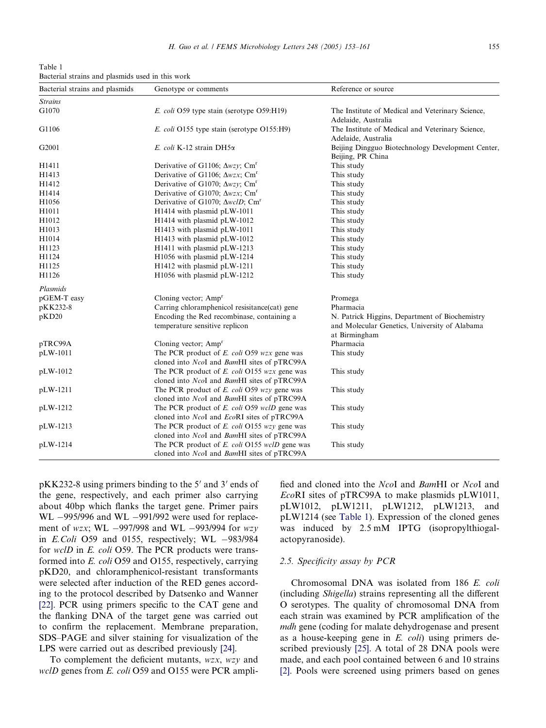<span id="page-2-0"></span>Table 1 Bacterial strains and plasmids used in this work

| Bacterial strains and plasmids | Genotype or comments                                      | Reference or source                               |
|--------------------------------|-----------------------------------------------------------|---------------------------------------------------|
| <b>Strains</b>                 |                                                           |                                                   |
| G1070                          | E. coli O59 type stain (serotype O59:H19)                 | The Institute of Medical and Veterinary Science,  |
|                                |                                                           | Adelaide, Australia                               |
| G1106                          | E. coli O155 type stain (serotype O155:H9)                | The Institute of Medical and Veterinary Science,  |
|                                |                                                           | Adelaide, Australia                               |
| G2001                          | E. coli K-12 strain DH5a                                  | Beijing Dingguo Biotechnology Development Center, |
|                                |                                                           | Beijing, PR China                                 |
| H1411                          | Derivative of G1106; $\Delta wzy$ ; Cm <sup>r</sup>       | This study                                        |
| H1413                          | Derivative of G1106; $\Delta wzx$ ; Cm <sup>r</sup>       | This study                                        |
| H1412                          | Derivative of G1070; $\Delta wzy$ ; Cm <sup>r</sup>       | This study                                        |
| H1414                          | Derivative of G1070; $\Delta wzx$ ; Cm <sup>r</sup>       | This study                                        |
| H1056                          | Derivative of G1070; $\Delta$ <i>wclD</i> ; $\text{Cm}^r$ | This study                                        |
| H1011                          | H1414 with plasmid pLW-1011                               | This study                                        |
| H1012                          | H1414 with plasmid pLW-1012                               | This study                                        |
| H1013                          | H1413 with plasmid pLW-1011                               | This study                                        |
| H1014                          | H1413 with plasmid pLW-1012                               | This study                                        |
| H1123                          | H1411 with plasmid pLW-1213                               | This study                                        |
| H1124                          | H1056 with plasmid pLW-1214                               | This study                                        |
| H1125                          | H1412 with plasmid pLW-1211                               | This study                                        |
| H1126                          | H1056 with plasmid pLW-1212                               | This study                                        |
| Plasmids                       |                                                           |                                                   |
| pGEM-T easy                    | Cloning vector; Amp <sup>r</sup>                          | Promega                                           |
| pKK232-8                       | Carring chloramphenicol resisitance(cat) gene             | Pharmacia                                         |
| pKD20                          | Encoding the Red recombinase, containing a                | N. Patrick Higgins, Department of Biochemistry    |
|                                | temperature sensitive replicon                            | and Molecular Genetics, University of Alabama     |
|                                |                                                           | at Birmingham                                     |
| pTRC99A                        | Cloning vector; Amp <sup>r</sup>                          | Pharmacia                                         |
| pLW-1011                       | The PCR product of E. coli O59 wzx gene was               | This study                                        |
|                                | cloned into NcoI and BamHI sites of pTRC99A               |                                                   |
| pLW-1012                       | The PCR product of E. coli O155 wzx gene was              | This study                                        |
|                                | cloned into NcoI and BamHI sites of pTRC99A               |                                                   |
| pLW-1211                       | The PCR product of $E$ . coli O59 $wzy$ gene was          | This study                                        |
|                                | cloned into NcoI and BamHI sites of pTRC99A               |                                                   |
| pLW-1212                       | The PCR product of <i>E. coli</i> O59 wclD gene was       | This study                                        |
|                                | cloned into NcoI and EcoRI sites of pTRC99A               |                                                   |
| pLW-1213                       | The PCR product of $E.$ coli O155 $wzy$ gene was          | This study                                        |
|                                | cloned into NcoI and BamHI sites of pTRC99A               |                                                   |
| pLW-1214                       | The PCR product of <i>E. coli</i> O155 wclD gene was      | This study                                        |
|                                | cloned into NcoI and BamHI sites of pTRC99A               |                                                   |

 $pKK232-8$  using primers binding to the 5' and 3' ends of the gene, respectively, and each primer also carrying about 40bp which flanks the target gene. Primer pairs  $WL -995/996$  and  $WL -991/992$  were used for replacement of wzx; WL  $-997/998$  and WL  $-993/994$  for wzy in E.Coli O59 and 0155, respectively; WL  $-983/984$ for wclD in E. coli O59. The PCR products were transformed into E. coli O59 and O155, respectively, carrying pKD20, and chloramphenicol-resistant transformants were selected after induction of the RED genes according to the protocol described by Datsenko and Wanner [\[22\].](#page-8-0) PCR using primers specific to the CAT gene and the flanking DNA of the target gene was carried out to confirm the replacement. Membrane preparation, SDS–PAGE and silver staining for visualization of the LPS were carried out as described previously [\[24\].](#page-8-0)

To complement the deficient mutants, wzx, wzy and wclD genes from E. coli O59 and O155 were PCR amplified and cloned into the NcoI and BamHI or NcoI and EcoRI sites of pTRC99A to make plasmids pLW1011, pLW1012, pLW1211, pLW1212, pLW1213, and pLW1214 (see Table 1). Expression of the cloned genes was induced by 2.5 mM IPTG (isopropylthiogalactopyranoside).

## 2.5. Specificity assay by PCR

Chromosomal DNA was isolated from 186 E. coli (including Shigella) strains representing all the different O serotypes. The quality of chromosomal DNA from each strain was examined by PCR amplification of the mdh gene (coding for malate dehydrogenase and present as a house-keeping gene in  $E$ .  $\text{col}(i)$  using primers described previously [\[25\].](#page-8-0) A total of 28 DNA pools were made, and each pool contained between 6 and 10 strains [\[2\].](#page-7-0) Pools were screened using primers based on genes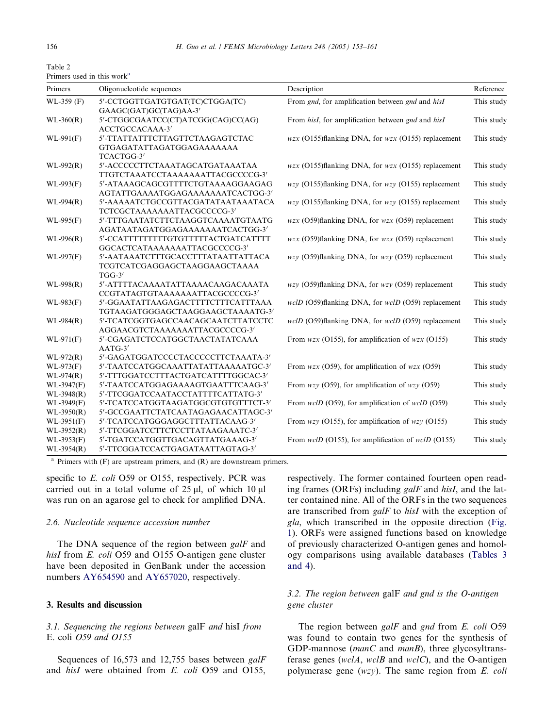<span id="page-3-0"></span>Table 2 Primers used in this work<sup>a</sup>

| Primers                      | Oligonucleotide sequences                                                       | Description                                                      | Reference  |
|------------------------------|---------------------------------------------------------------------------------|------------------------------------------------------------------|------------|
| $WL-359$ (F)                 | 5'-CCTGGTTGATGTGAT(TC)CTGGA(TC)<br>GAAGC(GAT)GC(TAG)AA-3'                       | From gnd, for amplification between gnd and hisI                 | This study |
| $WL-360(R)$                  | 5'-CTGGCGAATCC(CT)ATCGG(CAG)CC(AG)<br>ACCTGCCACAAA-3'                           | From hisI, for amplification between gnd and hisI                | This study |
| $WL-991(F)$                  | 5'-TTATTATTTCTTAGTTCTAAGAGTCTAC<br>GTGAGATATTAGATGGAGAAAAAAA<br>TCACTGG-3'      | $wzx$ (O155)flanking DNA, for $wzx$ (O155) replacement           | This study |
| $WL-992(R)$                  | 5'-ACCCCCTTCTAAATAGCATGATAAATAA<br>TTGTCTAAATCCTAAAAAAATTACGCCCCG-3'            | $wzx$ (O155)flanking DNA, for $wzx$ (O155) replacement           | This study |
| $WL-993(F)$                  | 5'-ATAAAGCAGCGTTTTCTGTAAAAGGAAGAG<br>AGTATTGAAAATGGAGAAAAAAATCACTGG-3'          | $wzy$ (O155)flanking DNA, for $wzy$ (O155) replacement           | This study |
| $WL-994(R)$                  | 5'-AAAAATCTGCCGTTACGATATAATAAATACA<br>TCTCGCTAAAAAAATTACGCCCCG-3'               | $wzy$ (O155)flanking DNA, for $wzy$ (O155) replacement           | This study |
| $WL-995(F)$                  | 5'-TTTGAATATCTTCTAAGGTCAAAATGTAATG<br>AGATAATAGATGGAGAAAAAAATCACTGG-3'          | $wzx$ (O59)flanking DNA, for $wzx$ (O59) replacement             | This study |
| $WL-996(R)$                  | 5'-CCATTTTTTTTTGTGTTTTTACTGATCATTTT<br>GGCACTCATAAAAAAAATTACGCCCCG-3'           | $wzx$ (O59)flanking DNA, for $wzx$ (O59) replacement             | This study |
| WL-997(F)                    | 5'-AATAAATCTTTGCACCTTTATAATTATTACA<br>TCGTCATCGAGGAGCTAAGGAAGCTAAAA<br>$TGG-3'$ | $wzy$ (O59)flanking DNA, for $wzy$ (O59) replacement             | This study |
| $WL-998(R)$                  | 5'-ATTTTACAAAATATTAAAACAAGACAAATA<br>CCGTATAGTGTAAAAAAATTACGCCCCG-3'            | $wzy$ (O59)flanking DNA, for $wzy$ (O59) replacement             | This study |
| $WL-983(F)$                  | 5'-GGAATATTAAGAGACTTTTCTTTCATTTAAA<br>TGTAAGATGGGAGCTAAGGAAGCTAAAATG-3'         | $wclD$ (O59)flanking DNA, for $wclD$ (O59) replacement           | This study |
| $WL-984(R)$                  | 5'-TCATCGGTGAGCCAACAGCAATCTTATCCTC<br>AGGAACGTCTAAAAAAATTACGCCCCG-3'            | $wclD$ (O59)flanking DNA, for $wclD$ (O59) replacement           | This study |
| $WL-971(F)$                  | 5'-CGAGATCTCCATGGCTAACTATATCAAA<br>$AATG-3'$                                    | From $wzx$ (O155), for amplification of $wzx$ (O155)             | This study |
| $WL-972(R)$<br>$WL-973(F)$   | 5'-GAGATGGATCCCCTACCCCCTTCTAAATA-3'<br>5'-TAATCCATGGCAAATTATATTAAAAATGC-3'      | From $wzx$ (O59), for amplification of $wzx$ (O59)               | This study |
| $WL-974(R)$                  | 5'-TTTGGATCCTTTACTGATCATTTTGGCAC-3'                                             |                                                                  |            |
| WL-3947(F)                   | 5'-TAATCCATGGAGAAAAGTGAATTTCAAG-3'                                              | From $wzy$ (O59), for amplification of $wzy$ (O59)               | This study |
| $WL-3948(R)$                 | 5'-TTCGGATCCAATACCTATTTTCATTATG-3'                                              |                                                                  |            |
| WL-3949(F)                   | 5'-TCATCCATGGTAAGATGGCGTGTGTTTCT-3'                                             | From <i>welD</i> (O59), for amplification of <i>welD</i> (O59)   | This study |
| $WL-3950(R)$                 | 5'-GCCGAATTCTATCAATAGAGAACATTAGC-3'                                             |                                                                  |            |
| $WL-3951(F)$                 | 5'-TCATCCATGGGAGGCTTTATTACAAG-3'                                                | From $wzy$ (O155), for amplification of $wzy$ (O155)             | This study |
| $WL-3952(R)$                 | 5'-TTCGGATCCTTCTCCTTATAAGAAATC-3'                                               |                                                                  |            |
| $WL-3953(F)$<br>$WL-3954(R)$ | 5'-TGATCCATGGTTGACAGTTATGAAAG-3'<br>5'-TTCGGATCCACTGAGATAATTAGTAG-3'            | From <i>welD</i> (O155), for amplification of <i>welD</i> (O155) | This study |

 $a$  Primers with (F) are upstream primers, and (R) are downstream primers.

specific to E. coli O59 or O155, respectively. PCR was carried out in a total volume of  $25 \mu l$ , of which  $10 \mu l$ was run on an agarose gel to check for amplified DNA.

## 2.6. Nucleotide sequence accession number

The DNA sequence of the region between galF and hisI from E. coli O59 and O155 O-antigen gene cluster have been deposited in GenBank under the accession numbers AY654590 and AY657020, respectively.

# 3. Results and discussion

# 3.1. Sequencing the regions between galF and hisI from E. coli O59 and O155

Sequences of 16,573 and 12,755 bases between galF and hisI were obtained from E. coli O59 and O155,

respectively. The former contained fourteen open reading frames (ORFs) including galF and hisI, and the latter contained nine. All of the ORFs in the two sequences are transcribed from galF to hisI with the exception of gla, which transcribed in the opposite direction ([Fig.](#page-4-0) [1\)](#page-4-0). ORFs were assigned functions based on knowledge of previously characterized O-antigen genes and homology comparisons using available databases [\(Tables 3](#page-4-0) [and 4](#page-4-0)).

# 3.2. The region between galF and gnd is the O-antigen gene cluster

The region between galF and gnd from E. coli O59 was found to contain two genes for the synthesis of GDP-mannose (manC and manB), three glycosyltransferase genes (wclA, wclB and wclC), and the O-antigen polymerase gene (wzy). The same region from E. coli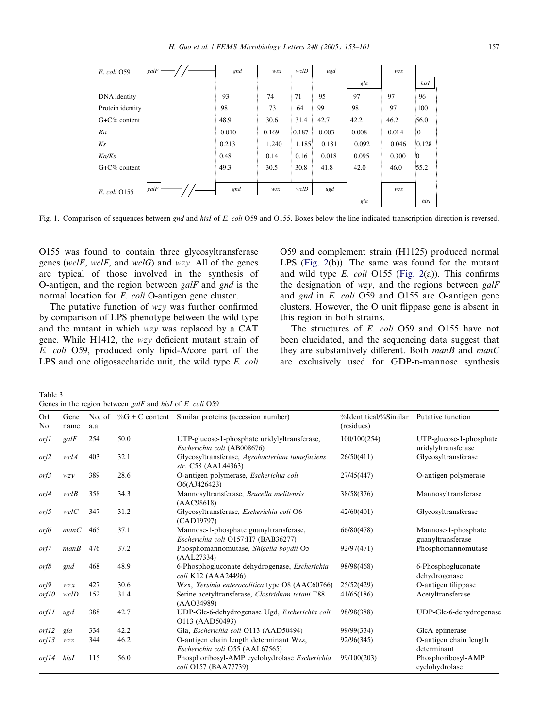<span id="page-4-0"></span>

| galF<br>E. coli O59  | gnd   | wzx                       | wclD   | ugd   |       | wzz   |                |
|----------------------|-------|---------------------------|--------|-------|-------|-------|----------------|
|                      |       |                           |        |       | gla   |       | hisI           |
| DNA identity         | 93    | 74                        | 71     | 95    | 97    | 97    | 96             |
| Protein identity     | 98    | 73                        | 64     | 99    | 98    | 97    | 100            |
| $G + C\%$ content    | 48.9  | 30.6                      | 31.4   | 42.7  | 42.2  | 46.2  | 56.0           |
| Ka                   | 0.010 | 0.169                     | :0.187 | 0.003 | 0.008 | 0.014 | $\overline{0}$ |
| Ks                   | 0.213 | 1.240                     | 1.185  | 0.181 | 0.092 | 0.046 | 0.128          |
| Ka/Ks                | 0.48  | 0.14                      | 0.16   | 0.018 | 0.095 | 0.300 | $\ddot{0}$     |
| $G + C\%$ content    | 49.3  | 30.5                      | 30.8   | 41.8  | 42.0  | 46.0  | 55.2           |
|                      |       |                           |        |       |       |       |                |
| galF<br>E. coli 0155 | gnd   | $W\mathcal{Z}\mathcal{X}$ | wclD   | ugd   |       | wzz   |                |
|                      |       |                           |        |       | gla   |       | hisI           |

Fig. 1. Comparison of sequences between gnd and hisI of E. coli O59 and O155. Boxes below the line indicated transcription direction is reversed.

O155 was found to contain three glycosyltransferase genes (wclE, wclF, and wclG) and wzy. All of the genes are typical of those involved in the synthesis of O-antigen, and the region between galF and gnd is the normal location for E. coli O-antigen gene cluster.

The putative function of  $wzy$  was further confirmed by comparison of LPS phenotype between the wild type and the mutant in which wzy was replaced by a CAT gene. While H1412, the wzy deficient mutant strain of E. coli O59, produced only lipid-A/core part of the LPS and one oligosaccharide unit, the wild type E. coli O59 and complement strain (H1125) produced normal LPS ([Fig. 2](#page-5-0)(b)). The same was found for the mutant and wild type  $E$ . *coli* O155 ([Fig. 2](#page-5-0)(a)). This confirms the designation of  $wzy$ , and the regions between galF and gnd in E. coli O59 and O155 are O-antigen gene clusters. However, the O unit flippase gene is absent in this region in both strains.

The structures of E. coli O59 and O155 have not been elucidated, and the sequencing data suggest that they are substantively different. Both  $manB$  and  $manC$ are exclusively used for GDP-D-mannose synthesis

Table 3 Genes in the region between galF and hisI of E. coli O59

| Orf<br>No. | Gene<br>name | No. of<br>a.a. | $\%G + C$ content | Similar proteins (accession number)                                           | %Identitical/%Similar<br>(residues) | Putative function                        |
|------------|--------------|----------------|-------------------|-------------------------------------------------------------------------------|-------------------------------------|------------------------------------------|
| orf1       | galF         | 254            | 50.0              | UTP-glucose-1-phosphate uridylyltransferase,                                  | 100/100(254)                        | UTP-glucose-1-phosphate                  |
|            |              |                |                   | Escherichia coli (AB008676)                                                   |                                     | uridylyltransferase                      |
| orf2       | wclA         | 403            | 32.1              | Glycosyltransferase, Agrobacterium tumefaciens<br>str. C58 (AAL44363)         | 26/50(411)                          | Glycosyltransferase                      |
| orf3       | WZV          | 389            | 28.6              | O-antigen polymerase, Escherichia coli<br>O6(AJ426423)                        | 27/45(447)                          | O-antigen polymerase                     |
| orf4       | wclB         | 358            | 34.3              | Mannosyltransferase, Brucella melitensis<br>(AAC98618)                        | 38/58(376)                          | Mannosyltransferase                      |
| orf5       | wclC         | 347            | 31.2              | Glycosyltransferase, Escherichia coli O6<br>(CAD19797)                        | 42/60(401)                          | Glycosyltransferase                      |
| orf6       | manC         | 465            | 37.1              | Mannose-1-phosphate guanyltransferase,<br>Escherichia coli O157:H7 (BAB36277) | 66/80(478)                          | Mannose-1-phosphate<br>guanyltransferase |
| orf7       | manB         | 476            | 37.2              | Phosphomannomutase, Shigella boydii O5<br>(AAL27334)                          | 92/97(471)                          | Phosphomannomutase                       |
| orf8       | gnd          | 468            | 48.9              | 6-Phosphogluconate dehydrogenase, Escherichia<br>coli K12 (AAA24496)          | 98/98(468)                          | 6-Phosphogluconate<br>dehydrogenase      |
| orf9       | WZX          | 427            | 30.6              | Wzx, Yersinia enterocolitica type O8 (AAC60766)                               | 25/52(429)                          | O-antigen filippase                      |
| orf10      | wclD         | 152            | 31.4              | Serine acetyltransferase, Clostridium tetani E88<br>(AAO34989)                | 41/65(186)                          | Acetyltransferase                        |
| orf11      | ugd          | 388            | 42.7              | UDP-Glc-6-dehydrogenase Ugd, Escherichia coli<br>O113 (AAD50493)              | 98/98(388)                          | UDP-Glc-6-dehydrogenase                  |
| orf12      | gla          | 334            | 42.2              | Gla, Escherichia coli O113 (AAD50494)                                         | 99/99(334)                          | GlcA epimerase                           |
| orf13      | WZZ          | 344            | 46.2              | O-antigen chain length determinant Wzz,<br>Escherichia coli O55 (AAL67565)    | 92/96(345)                          | O-antigen chain length<br>determinant    |
| orf14      | hisI         | 115            | 56.0              | Phosphoribosyl-AMP cyclohydrolase Escherichia<br>coli O157 (BAA77739)         | 99/100(203)                         | Phosphoribosyl-AMP<br>cyclohydrolase     |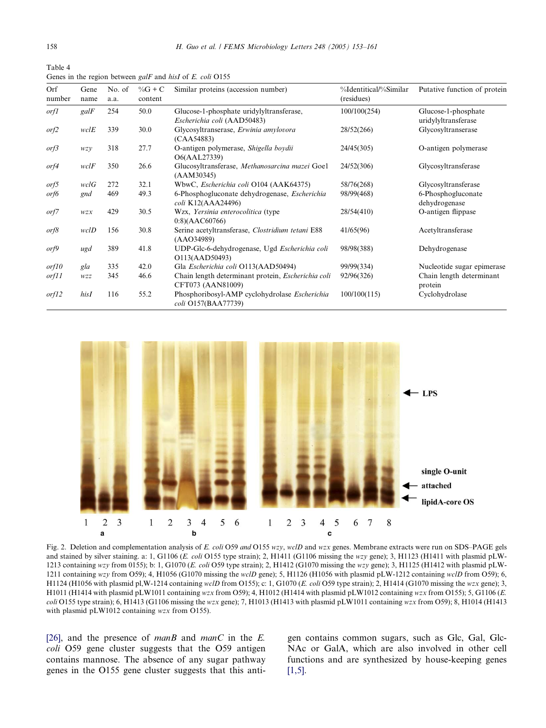<span id="page-5-0"></span>Table 4 Genes in the region between galF and hisI of E. coli O155

| Orf<br>number | Gene<br>name | No. of<br>a.a. | $\%G + C$<br>content | Similar proteins (accession number)                                        | %Identitical/%Similar<br>(residues) | Putative function of protein               |
|---------------|--------------|----------------|----------------------|----------------------------------------------------------------------------|-------------------------------------|--------------------------------------------|
| <i>orf1</i>   | galF         | 254            | 50.0                 | Glucose-1-phosphate uridylyltransferase,<br>Escherichia coli (AAD50483)    | 100/100(254)                        | Glucose-1-phosphate<br>uridylyltransferase |
| orf2          | wclE         | 339            | 30.0                 | Glycosyltranserase, Erwinia amylovora<br>(CAA54883)                        | 28/52(266)                          | Glycosyltranserase                         |
| or f3         | wzy          | 318            | 27.7                 | O-antigen polymerase, Shigella boydii<br>O6(AAL27339)                      | 24/45(305)                          | O-antigen polymerase                       |
| orf4          | wclF         | 350            | 26.6                 | Glucosyltransferase, Methanosarcina mazei Goel<br>(AAM30345)               | 24/52(306)                          | Glycosyltransferase                        |
| orf5          | wclG         | 272            | 32.1                 | WbwC, Escherichia coli O104 (AAK64375)                                     | 58/76(268)                          | Glycosyltransferase                        |
| orf6          | gnd          | 469            | 49.3                 | 6-Phosphogluconate dehydrogenase, <i>Escherichia</i><br>coli K12(AAA24496) | 98/99(468)                          | 6-Phosphogluconate<br>dehydrogenase        |
| orf7          | $WZX$        | 429            | 30.5                 | Wzx, Yersinia enterocolitica (type<br>$0:8$ )(AAC60766)                    | 28/54(410)                          | O-antigen flippase                         |
| or f8         | wclD         | 156            | 30.8                 | Serine acetyltransferase, Clostridium tetani E88<br>(AAO34989)             | 41/65(96)                           | Acetyltransferase                          |
| or f9         | ugd          | 389            | 41.8                 | UDP-Glc-6-dehydrogenase, Ugd Escherichia coli<br>O113(AAD50493)            | 98/98(388)                          | Dehydrogenase                              |
| or f10        | gla          | 335            | 42.0                 | Gla Escherichia coli O113(AAD50494)                                        | 99/99(334)                          | Nucleotide sugar epimerase                 |
| orf11         | wzz          | 345            | 46.6                 | Chain length determinant protein, Escherichia coli<br>CFT073 (AAN81009)    | 92/96(326)                          | Chain length determinant<br>protein        |
| or f12        | hisI         | 116            | 55.2                 | Phosphoribosyl-AMP cyclohydrolase Escherichia<br>coli O157(BAA77739)       | 100/100(115)                        | Cyclohydrolase                             |



Fig. 2. Deletion and complementation analysis of E. coli O59 and O155 wzy, wclD and wzx genes. Membrane extracts were run on SDS-PAGE gels and stained by silver staining. a: 1, G1106 (E. coli O155 type strain); 2, H1411 (G1106 missing the wzy gene); 3, H1123 (H1411 with plasmid pLW-1213 containing wzy from 0155); b: 1, G1070 (E. coli O59 type strain); 2, H1412 (G1070 missing the wzy gene); 3, H1125 (H1412 with plasmid pLW-1211 containing wzy from O59); 4, H1056 (G1070 missing the wclD gene); 5, H1126 (H1056 with plasmid pLW-1212 containing wclD from O59); 6, H1124 (H1056 with plasmid pl, W-1214 containing wclD from O155); c: 1, G1070 (E. coli O59 type strain); 2, H1414 (G1070 missing the wzx gene); 3, H1011 (H1414 with plasmid pLW1011 containing wzx from O59); 4, H1012 (H1414 with plasmid pLW1012 containing wzx from O155); 5, G1106 (E. coli O155 type strain); 6, H1413 (G1106 missing the wzx gene); 7, H1013 (H1413 with plasmid pLW1011 containing wzx from O59); 8, H1014 (H1413 with plasmid pLW1012 containing wzx from O155).

[\[26\]](#page-8-0), and the presence of manB and manC in the E. coli O59 gene cluster suggests that the O59 antigen contains mannose. The absence of any sugar pathway genes in the O155 gene cluster suggests that this anti-

gen contains common sugars, such as Glc, Gal, Glc-NAc or GalA, which are also involved in other cell functions and are synthesized by house-keeping genes  $[1,5]$ .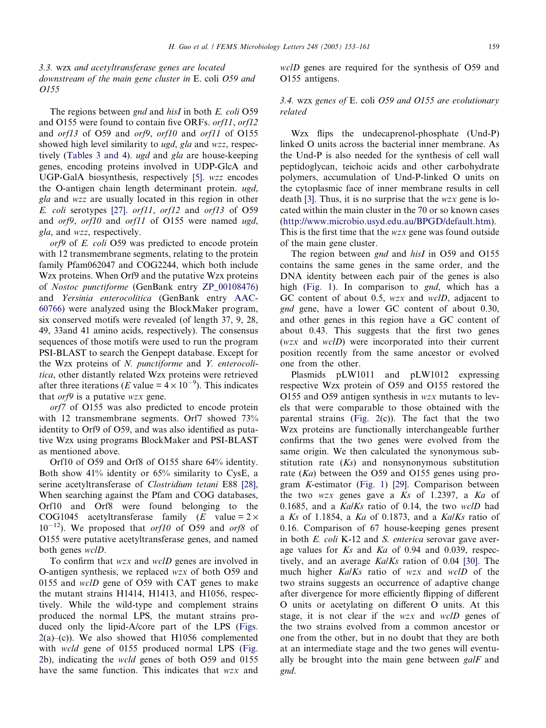3.3. wzx and acetyltransferase genes are located downstream of the main gene cluster in E. coli O59 and O155

The regions between *gnd* and *hisI* in both *E. coli* O59 and O155 were found to contain five ORFs. orf11, orf12 and *orf13* of O59 and *orf9*, *orf10* and *orf11* of O155 showed high level similarity to ugd, gla and wzz, respectively ([Tables 3 and 4](#page-4-0)). ugd and gla are house-keeping genes, encoding proteins involved in UDP-GlcA and UGP-GalA biosynthesis, respectively [\[5\]](#page-7-0). wzz encodes the O-antigen chain length determinant protein. ugd, gla and wzz are usually located in this region in other E. coli serotypes [\[27\].](#page-8-0) orf11, orf12 and orf13 of O59 and orf9, orf10 and orf11 of O155 were named ugd, gla, and wzz, respectively.

orf9 of E. coli O59 was predicted to encode protein with 12 transmembrane segments, relating to the protein family Pfam062047 and COG2244, which both include Wzx proteins. When Orf9 and the putative Wzx proteins of Nostoc punctiforme (GenBank entry ZP\_00108476) and Yersinia enterocolitica (GenBank entry AAC-60766) were analyzed using the BlockMaker program, six conserved motifs were revealed (of length 37, 9, 28, 49, 33and 41 amino acids, respectively). The consensus sequences of those motifs were used to run the program PSI-BLAST to search the Genpept database. Except for the Wzx proteins of N. punctiforme and Y. enterocolitica, other distantly related Wzx proteins were retrieved after three iterations (*E* value =  $4 \times 10^{-9}$ ). This indicates that  $\sigma r f9$  is a putative wzx gene.

orf7 of O155 was also predicted to encode protein with 12 transmembrane segments. Orf7 showed 73% identity to Orf9 of O59, and was also identified as putative Wzx using programs BlockMaker and PSI-BLAST as mentioned above.

Orf10 of O59 and Orf8 of O155 share 64% identity. Both show 41% identity or 65% similarity to CysE, a serine acetyltransferase of *Clostridium tetani* E88 [\[28\],](#page-8-0) When searching against the Pfam and COG databases, Orf10 and Orf8 were found belonging to the COG1045 acetyltransferase family  $(E \text{ value} = 2 \times$  $10^{-12}$ ). We proposed that *orf10* of O59 and *orf8* of O155 were putative acetyltransferase genes, and named both genes wclD.

To confirm that wzx and wclD genes are involved in O-antigen synthesis, we replaced wzx of both O59 and 0155 and wclD gene of O59 with CAT genes to make the mutant strains H1414, H1413, and H1056, respectively. While the wild-type and complement strains produced the normal LPS, the mutant strains produced only the lipid-A/core part of the LPS ([Figs.](#page-5-0)  $2(a)$  $2(a)$ –(c)). We also showed that H1056 complemented with *wcld* gene of 0155 produced normal LPS ([Fig.](#page-5-0) [2b](#page-5-0)), indicating the wcld genes of both O59 and 0155 have the same function. This indicates that wzx and wclD genes are required for the synthesis of O59 and O155 antigens.

# 3.4. wzx genes of E. coli O59 and O155 are evolutionary related

Wzx flips the undecaprenol-phosphate (Und-P) linked O units across the bacterial inner membrane. As the Und-P is also needed for the synthesis of cell wall peptidoglycan, teichoic acids and other carbohydrate polymers, accumulation of Und-P-linked O units on the cytoplasmic face of inner membrane results in cell death [\[3\].](#page-7-0) Thus, it is no surprise that the  $wzx$  gene is located within the main cluster in the 70 or so known cases ([http://www.microbio.usyd.edu.au/BPGD/default.htm\)](http://www.microbio.usyd.edu.au/BPGD/default.htm). This is the first time that the wzx gene was found outside of the main gene cluster.

The region between *gnd* and *hisI* in O59 and O155 contains the same genes in the same order, and the DNA identity between each pair of the genes is also high [\(Fig. 1\)](#page-4-0). In comparison to *gnd*, which has a GC content of about 0.5, wzx and wclD, adjacent to gnd gene, have a lower GC content of about 0.30, and other genes in this region have a GC content of about 0.43. This suggests that the first two genes (wzx and wclD) were incorporated into their current position recently from the same ancestor or evolved one from the other.

Plasmids pLW1011 and pLW1012 expressing respective Wzx protein of O59 and O155 restored the O155 and O59 antigen synthesis in  $wzx$  mutants to levels that were comparable to those obtained with the parental strains (Fig.  $2(c)$ ). The fact that the two Wzx proteins are functionally interchangeable further confirms that the two genes were evolved from the same origin. We then calculated the synonymous substitution rate  $(Ks)$  and nonsynonymous substitution rate  $(Ka)$  between the O59 and O155 genes using program K-estimator [\(Fig. 1\)](#page-4-0) [\[29\].](#page-8-0) Comparison between the two  $wzx$  genes gave a  $Ks$  of 1.2397, a  $Ka$  of 0.1685, and a  $Ka/Ks$  ratio of 0.14, the two wclD had a Ks of 1.1854, a Ka of 0.1873, and a Ka/Ks ratio of 0.16. Comparison of 67 house-keeping genes present in both *E. coli* K-12 and *S. enterica* serovar gave average values for Ks and Ka of 0.94 and 0.039, respectively, and an average  $Ka/Ks$  ration of 0.04 [\[30\].](#page-8-0) The much higher Ka/Ks ratio of wzx and wclD of the two strains suggests an occurrence of adaptive change after divergence for more efficiently flipping of different O units or acetylating on different O units. At this stage, it is not clear if the *wzx* and *wclD* genes of the two strains evolved from a common ancestor or one from the other, but in no doubt that they are both at an intermediate stage and the two genes will eventually be brought into the main gene between  $\varrho a/F$  and gnd.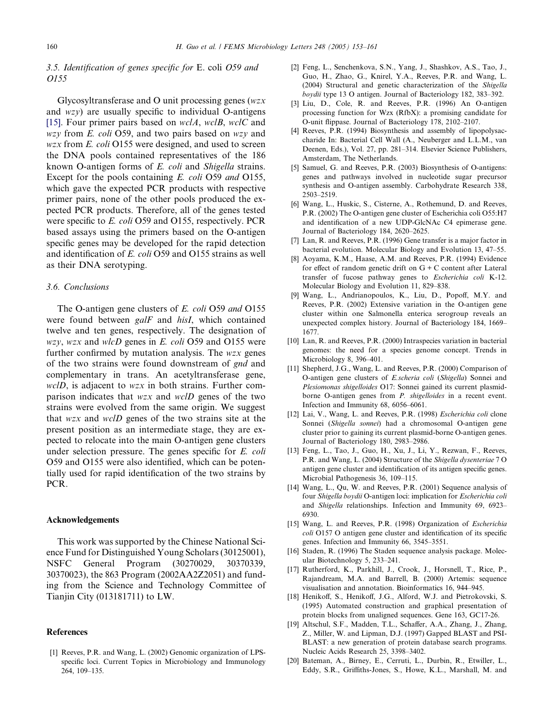# <span id="page-7-0"></span>3.5. Identification of genes specific for E. coli O59 and O155

Glycosyltransferase and O unit processing genes (wzx and wzy) are usually specific to individual O-antigens [15]. Four primer pairs based on  $wclA$ ,  $wclB$ ,  $wclC$  and wzy from E. coli O59, and two pairs based on wzy and  $wzx$  from E. coli O155 were designed, and used to screen the DNA pools contained representatives of the 186 known O-antigen forms of E. coli and Shigella strains. Except for the pools containing E. coli O59 and O155, which gave the expected PCR products with respective primer pairs, none of the other pools produced the expected PCR products. Therefore, all of the genes tested were specific to E. coli O59 and O155, respectively. PCR based assays using the primers based on the O-antigen specific genes may be developed for the rapid detection and identification of E. coli O59 and O155 strains as well as their DNA serotyping.

## 3.6. Conclusions

The O-antigen gene clusters of E. coli O59 and O155 were found between galF and hisI, which contained twelve and ten genes, respectively. The designation of  $wzy$ ,  $wzx$  and  $wlcD$  genes in E. coli O59 and O155 were further confirmed by mutation analysis. The wzx genes of the two strains were found downstream of gnd and complementary in trans. An acetyltransferase gene, wclD, is adjacent to wzx in both strains. Further comparison indicates that wzx and wclD genes of the two strains were evolved from the same origin. We suggest that wzx and wclD genes of the two strains site at the present position as an intermediate stage, they are expected to relocate into the main O-antigen gene clusters under selection pressure. The genes specific for E. coli O59 and O155 were also identified, which can be potentially used for rapid identification of the two strains by PCR.

## Acknowledgements

This work was supported by the Chinese National Science Fund for Distinguished Young Scholars (30125001), NSFC General Program (30270029, 30370339, 30370023), the 863 Program (2002AA2Z2051) and funding from the Science and Technology Committee of Tianjin City (013181711) to LW.

## References

[1] Reeves, P.R. and Wang, L. (2002) Genomic organization of LPSspecific loci. Current Topics in Microbiology and Immunology 264, 109–135.

- [2] Feng, L., Senchenkova, S.N., Yang, J., Shashkov, A.S., Tao, J., Guo, H., Zhao, G., Knirel, Y.A., Reeves, P.R. and Wang, L. (2004) Structural and genetic characterization of the Shigella boydii type 13 O antigen. Journal of Bacteriology 182, 383–392.
- [3] Liu, D., Cole, R. and Reeves, P.R. (1996) An O-antigen processing function for Wzx (RfbX): a promising candidate for O-unit flippase. Journal of Bacteriology 178, 2102–2107.
- [4] Reeves, P.R. (1994) Biosynthesis and assembly of lipopolysaccharide In: Bacterial Cell Wall (A., Neuberger and L.L.M., van Deenen, Eds.), Vol. 27, pp. 281–314. Elsevier Science Publishers, Amsterdam, The Netherlands.
- [5] Samuel, G. and Reeves, P.R. (2003) Biosynthesis of O-antigens: genes and pathways involved in nucleotide sugar precursor synthesis and O-antigen assembly. Carbohydrate Research 338, 2503–2519.
- [6] Wang, L., Huskic, S., Cisterne, A., Rothemund, D. and Reeves, P.R. (2002) The O-antigen gene cluster of Escherichia coli O55:H7 and identification of a new UDP-GlcNAc C4 epimerase gene. Journal of Bacteriology 184, 2620–2625.
- [7] Lan, R. and Reeves, P.R. (1996) Gene transfer is a major factor in bacterial evolution. Molecular Biology and Evolution 13, 47–55.
- [8] Aoyama, K.M., Haase, A.M. and Reeves, P.R. (1994) Evidence for effect of random genetic drift on  $G + C$  content after Lateral transfer of fucose pathway genes to Escherichia coli K-12. Molecular Biology and Evolution 11, 829–838.
- [9] Wang, L., Andrianopoulos, K., Liu, D., Popoff, M.Y. and Reeves, P.R. (2002) Extensive variation in the O-antigen gene cluster within one Salmonella enterica serogroup reveals an unexpected complex history. Journal of Bacteriology 184, 1669– 1677.
- [10] Lan, R. and Reeves, P.R. (2000) Intraspecies variation in bacterial genomes: the need for a species genome concept. Trends in Microbiology 8, 396–401.
- [11] Shepherd, J.G., Wang, L. and Reeves, P.R. (2000) Comparison of O-antigen gene clusters of E.scheria coli (Shigella) Sonnei and Plesiomonas shigelloides O17: Sonnei gained its current plasmidborne O-antigen genes from P. shigelloides in a recent event. Infection and Immunity 68, 6056–6061.
- [12] Lai, V., Wang, L. and Reeves, P.R. (1998) Escherichia coli clone Sonnei (Shigella sonnei) had a chromosomal O-antigen gene cluster prior to gaining its current plasmid-borne O-antigen genes. Journal of Bacteriology 180, 2983–2986.
- [13] Feng, L., Tao, J., Guo, H., Xu, J., Li, Y., Rezwan, F., Reeves, P.R. and Wang, L. (2004) Structure of the Shigella dysenteriae 7 O antigen gene cluster and identification of its antigen specific genes. Microbial Pathogenesis 36, 109–115.
- [14] Wang, L., Qu, W. and Reeves, P.R. (2001) Sequence analysis of four Shigella boydii O-antigen loci: implication for Escherichia coli and Shigella relationships. Infection and Immunity 69, 6923– 6930.
- [15] Wang, L. and Reeves, P.R. (1998) Organization of *Escherichia* coli O157 O antigen gene cluster and identification of its specific genes. Infection and Immunity 66, 3545–3551.
- [16] Staden, R. (1996) The Staden sequence analysis package. Molecular Biotechnology 5, 233–241.
- [17] Rutherford, K., Parkhill, J., Crook, J., Horsnell, T., Rice, P., Rajandream, M.A. and Barrell, B. (2000) Artemis: sequence visualisation and annotation. Bioinformatics 16, 944–945.
- [18] Henikoff, S., Henikoff, J.G., Alford, W.J. and Pietrokovski, S. (1995) Automated construction and graphical presentation of protein blocks from unaligned sequences. Gene 163, GC17-26.
- [19] Altschul, S.F., Madden, T.L., Schaffer, A.A., Zhang, J., Zhang, Z., Miller, W. and Lipman, D.J. (1997) Gapped BLAST and PSI-BLAST: a new generation of protein database search programs. Nucleic Acids Research 25, 3398–3402.
- [20] Bateman, A., Birney, E., Cerruti, L., Durbin, R., Etwiller, L., Eddy, S.R., Griffiths-Jones, S., Howe, K.L., Marshall, M. and